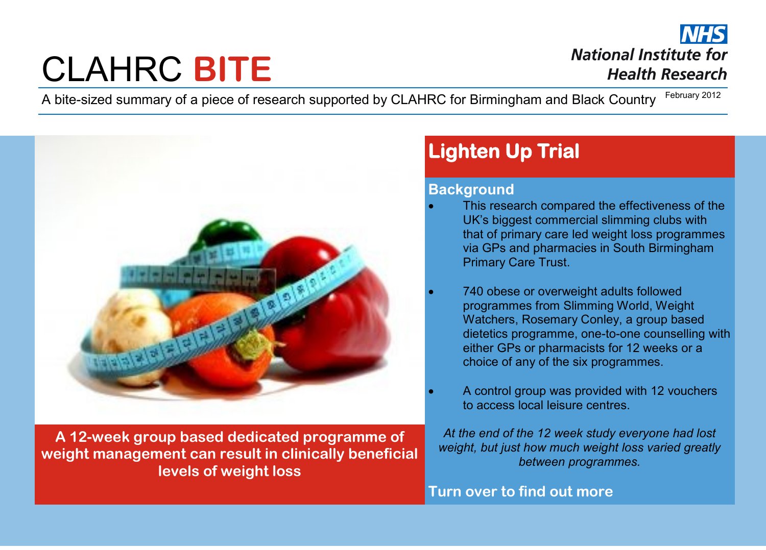# CLAHRC **BITE**

**National Institute for Health Research** 

A bite-sized summary of a piece of research supported by CLAHRC for Birmingham and Black Country February 2012



**A 12-week group based dedicated programme of weight management can result in clinically beneficial levels of weight loss** 

## **Lighten Up Trial**

#### **Background**

- This research compared the effectiveness of the UK's biggest commercial slimming clubs with that of primary care led weight loss programmes via GPs and pharmacies in South Birmingham Primary Care Trust.
- 740 obese or overweight adults followed programmes from Slimming World, Weight Watchers, Rosemary Conley, a group based dietetics programme, one-to-one counselling with either GPs or pharmacists for 12 weeks or a choice of any of the six programmes.
- A control group was provided with 12 vouchers to access local leisure centres.

*At the end of the 12 week study everyone had lost weight, but just how much weight loss varied greatly between programmes.* 

**Turn over to find out more**